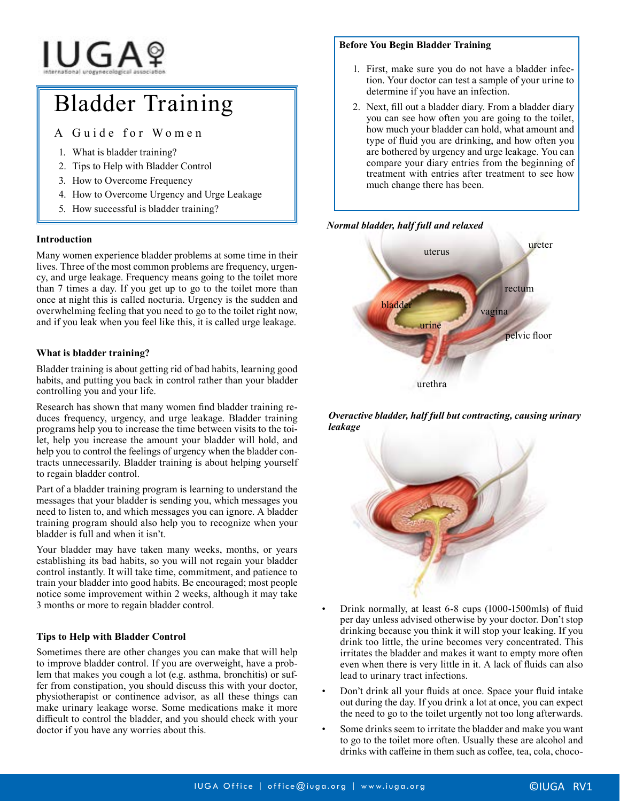# IUGAº

# Bladder Training

A Guide for Women

- 1. What is bladder training?
- 2. Tips to Help with Bladder Control
- 3. How to Overcome Frequency
- 4. How to Overcome Urgency and Urge Leakage
- 5. How successful is bladder training?

## **Introduction**

Many women experience bladder problems at some time in their lives. Three of the most common problems are frequency, urgency, and urge leakage. Frequency means going to the toilet more than 7 times a day. If you get up to go to the toilet more than once at night this is called nocturia. Urgency is the sudden and overwhelming feeling that you need to go to the toilet right now, and if you leak when you feel like this, it is called urge leakage.

#### **What is bladder training?**

Bladder training is about getting rid of bad habits, learning good habits, and putting you back in control rather than your bladder controlling you and your life.

Research has shown that many women find bladder training reduces frequency, urgency, and urge leakage. Bladder training programs help you to increase the time between visits to the toilet, help you increase the amount your bladder will hold, and help you to control the feelings of urgency when the bladder contracts unnecessarily. Bladder training is about helping yourself to regain bladder control.

Part of a bladder training program is learning to understand the messages that your bladder is sending you, which messages you need to listen to, and which messages you can ignore. A bladder training program should also help you to recognize when your bladder is full and when it isn't.

Your bladder may have taken many weeks, months, or years establishing its bad habits, so you will not regain your bladder control instantly. It will take time, commitment, and patience to train your bladder into good habits. Be encouraged; most people notice some improvement within 2 weeks, although it may take 3 months or more to regain bladder control.

## **Tips to Help with Bladder Control**

Sometimes there are other changes you can make that will help to improve bladder control. If you are overweight, have a problem that makes you cough a lot (e.g. asthma, bronchitis) or suffer from constipation, you should discuss this with your doctor, physiotherapist or continence advisor, as all these things can make urinary leakage worse. Some medications make it more difficult to control the bladder, and you should check with your doctor if you have any worries about this.

#### **Before You Begin Bladder Training**

- 1. First, make sure you do not have a bladder infection. Your doctor can test a sample of your urine to determine if you have an infection.
- 2. Next, fill out a bladder diary. From a bladder diary you can see how often you are going to the toilet, how much your bladder can hold, what amount and type of fluid you are drinking, and how often you are bothered by urgency and urge leakage. You can compare your diary entries from the beginning of treatment with entries after treatment to see how much change there has been.

#### *Normal bladder, half full and relaxed*



*Overactive bladder, half full but contracting, causing urinary leakage*



- Drink normally, at least 6-8 cups (1000-1500mls) of fluid per day unless advised otherwise by your doctor. Don't stop drinking because you think it will stop your leaking. If you drink too little, the urine becomes very concentrated. This irritates the bladder and makes it want to empty more often even when there is very little in it. A lack of fluids can also lead to urinary tract infections.
- Don't drink all your fluids at once. Space your fluid intake out during the day. If you drink a lot at once, you can expect the need to go to the toilet urgently not too long afterwards.
- Some drinks seem to irritate the bladder and make you want to go to the toilet more often. Usually these are alcohol and drinks with caffeine in them such as coffee, tea, cola, choco-